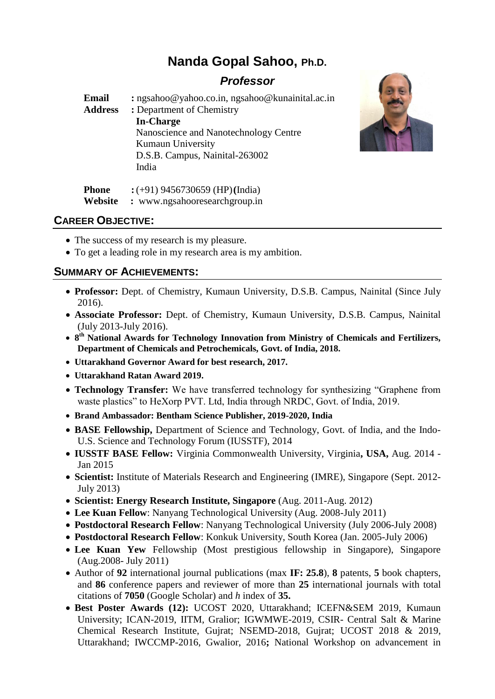# **Nanda Gopal Sahoo, Ph.D.**

## *Professor*

**Email :** [ngsahoo@yahoo.co.in,](mailto:ngsahoo@yahoo.co.in) ngsahoo@kunainital.ac.in **Address :** Department of Chemistry **In-Charge** Nanoscience and Nanotechnology Centre Kumaun University D.S.B. Campus, Nainital-263002 India



## **CAREER OBJECTIVE:**

- The success of my research is my pleasure.
- To get a leading role in my research area is my ambition.

**Phone :** (+91) 9456730659 (HP)**(**India) **Website :** www.ngsahooresearchgroup.in

## **SUMMARY OF ACHIEVEMENTS:**

- **Professor:** Dept. of Chemistry, Kumaun University, D.S.B. Campus, Nainital (Since July 2016).
- **Associate Professor:** Dept. of Chemistry, Kumaun University, D.S.B. Campus, Nainital (July 2013-July 2016).
- **•** 8<sup>th</sup> National Awards for Technology Innovation from Ministry of Chemicals and Fertilizers, **Department of Chemicals and Petrochemicals, Govt. of India, 2018.**
- **Uttarakhand Governor Award for best research, 2017.**
- **Uttarakhand Ratan Award 2019.**
- **Technology Transfer:** We have transferred technology for synthesizing "Graphene from waste plastics" to HeXorp PVT. Ltd, India through NRDC, Govt. of India, 2019.
- **Brand Ambassador: Bentham Science Publisher, 2019-2020, India**
- **BASE Fellowship,** Department of Science and Technology, Govt. of India, and the Indo-U.S. Science and Technology Forum (IUSSTF), 2014
- **IUSSTF BASE Fellow:** Virginia Commonwealth University, Virginia**, USA,** Aug. 2014 Jan 2015
- **Scientist:** Institute of Materials Research and Engineering (IMRE), Singapore (Sept. 2012- July 2013)
- **Scientist: Energy Research Institute, Singapore** (Aug. 2011-Aug. 2012)
- **Lee Kuan Fellow**: Nanyang Technological University (Aug. 2008-July 2011)
- **Postdoctoral Research Fellow**: Nanyang Technological University (July 2006-July 2008)
- **Postdoctoral Research Fellow**: Konkuk University, South Korea (Jan. 2005-July 2006)
- **Lee Kuan Yew** Fellowship (Most prestigious fellowship in Singapore), Singapore (Aug.2008- July 2011)
- Author of **92** international journal publications (max **IF: 25.8**), **8** patents, **5** book chapters, and **86** conference papers and reviewer of more than **25** international journals with total citations of **7050** (Google Scholar) and *h* index of **35.**
- **Best Poster Awards (12):** UCOST 2020, Uttarakhand; ICEFN&SEM 2019, Kumaun University; ICAN-2019, IITM, Gralior; IGWMWE-2019, CSIR- Central Salt & Marine Chemical Research Institute, Gujrat; NSEMD-2018, Gujrat; UCOST 2018 & 2019, Uttarakhand; IWCCMP-2016, Gwalior, 2016**;** National Workshop on advancement in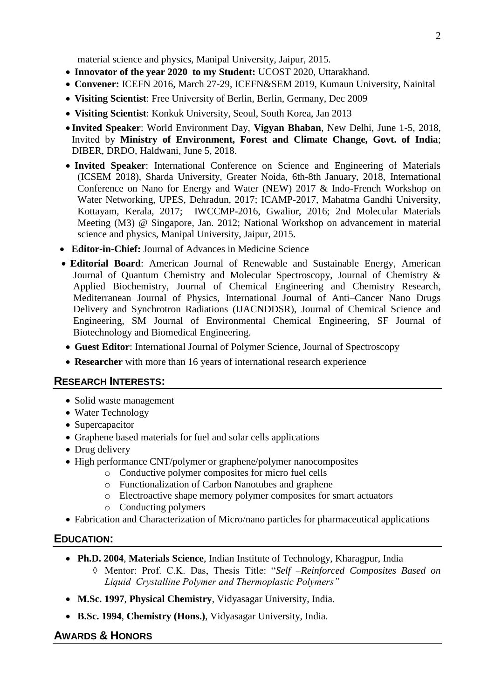material science and physics, Manipal University, Jaipur, 2015.

- Innovator of the year 2020 to my Student: UCOST 2020, Uttarakhand.
- **Convener:** ICEFN 2016, March 27-29, ICEFN&SEM 2019, Kumaun University, Nainital
- **Visiting Scientist**: Free University of Berlin, Berlin, Germany, Dec 2009
- **Visiting Scientist**: Konkuk University, Seoul, South Korea, Jan 2013
- **Invited Speaker**: World Environment Day, **Vigyan Bhaban**, New Delhi, June 1-5, 2018, Invited by **Ministry of Environment, Forest and Climate Change, Govt. of India**; DIBER, DRDO, Haldwani, June 5, 2018.
- **Invited Speaker**: International Conference on Science and Engineering of Materials (ICSEM 2018), Sharda University, Greater Noida, 6th-8th January, 2018, International Conference on Nano for Energy and Water (NEW) 2017 & Indo-French Workshop on Water Networking, UPES, Dehradun, 2017; ICAMP-2017, Mahatma Gandhi University, Kottayam, Kerala, 2017; IWCCMP-2016, Gwalior, 2016; 2nd Molecular Materials Meeting (M3) @ Singapore, Jan. 2012; National Workshop on advancement in material science and physics, Manipal University, Jaipur, 2015.
- **Editor-in-Chief:** Journal of Advances in Medicine Science
- **Editorial Board**: American Journal of Renewable and Sustainable Energy, American Journal of Quantum Chemistry and Molecular Spectroscopy, Journal of Chemistry & Applied Biochemistry, Journal of Chemical Engineering and Chemistry Research, Mediterranean Journal of Physics, International Journal of Anti–Cancer Nano Drugs Delivery and Synchrotron Radiations (IJACNDDSR), Journal of Chemical Science and Engineering, SM Journal of Environmental Chemical Engineering, SF Journal of Biotechnology and Biomedical Engineering.
- **Guest Editor**: International Journal of Polymer Science, Journal of Spectroscopy
- **Researcher** with more than 16 years of international research experience

## **RESEARCH INTERESTS:**

- Solid waste management
- Water Technology
- Supercapacitor
- Graphene based materials for fuel and solar cells applications
- Drug delivery
- High performance CNT/polymer or graphene/polymer nanocomposites
	- o Conductive polymer composites for micro fuel cells
	- o Functionalization of Carbon Nanotubes and graphene
	- o Electroactive shape memory polymer composites for smart actuators
	- o Conducting polymers
- Fabrication and Characterization of Micro/nano particles for pharmaceutical applications

## **EDUCATION:**

- **Ph.D. 2004**, **Materials Science**, Indian Institute of Technology, Kharagpur, India
	- Mentor: Prof. C.K. Das, Thesis Title: "*Self –Reinforced Composites Based on Liquid Crystalline Polymer and Thermoplastic Polymers"*
- **M.Sc. 1997**, **Physical Chemistry**, Vidyasagar University, India.
- **B.Sc. 1994**, **Chemistry (Hons.)**, Vidyasagar University, India.

## **AWARDS & HONORS**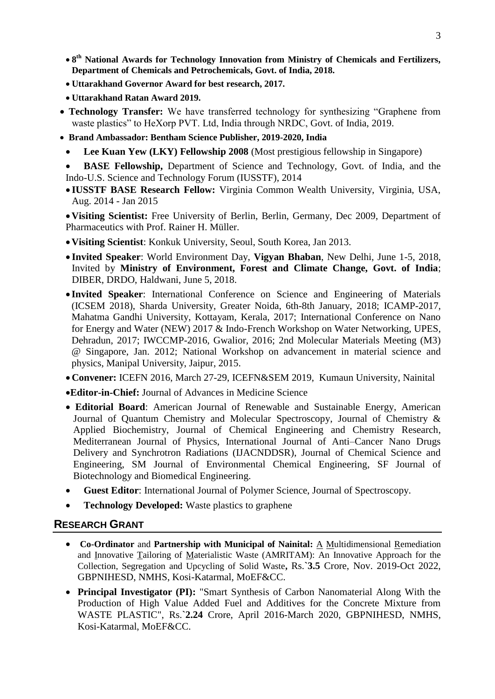- $\bullet$  **8<sup>th</sup> National Awards for Technology Innovation from Ministry of Chemicals and Fertilizers, Department of Chemicals and Petrochemicals, Govt. of India, 2018.**
- **Uttarakhand Governor Award for best research, 2017.**
- **Uttarakhand Ratan Award 2019.**
- **Technology Transfer:** We have transferred technology for synthesizing "Graphene from waste plastics" to HeXorp PVT. Ltd, India through NRDC, Govt. of India, 2019.
- **Brand Ambassador: Bentham Science Publisher, 2019-2020, India**
	- **Lee Kuan Yew (LKY) Fellowship 2008** (Most prestigious fellowship in Singapore)

 **BASE Fellowship,** Department of Science and Technology, Govt. of India, and the Indo-U.S. Science and Technology Forum (IUSSTF), 2014

 **IUSSTF BASE Research Fellow:** Virginia Common Wealth University, Virginia, USA, Aug. 2014 - Jan 2015

**Visiting Scientist:** Free University of Berlin, Berlin, Germany, Dec 2009, Department of Pharmaceutics with Prof. Rainer H. Müller.

- **Visiting Scientist**: Konkuk University, Seoul, South Korea, Jan 2013.
- **Invited Speaker**: World Environment Day, **Vigyan Bhaban**, New Delhi, June 1-5, 2018, Invited by **Ministry of Environment, Forest and Climate Change, Govt. of India**; DIBER, DRDO, Haldwani, June 5, 2018.
- **Invited Speaker**: International Conference on Science and Engineering of Materials (ICSEM 2018), Sharda University, Greater Noida, 6th-8th January, 2018; ICAMP-2017, Mahatma Gandhi University, Kottayam, Kerala, 2017; International Conference on Nano for Energy and Water (NEW) 2017 & Indo-French Workshop on Water Networking, UPES, Dehradun, 2017; IWCCMP-2016, Gwalior, 2016; 2nd Molecular Materials Meeting (M3) @ Singapore, Jan. 2012; National Workshop on advancement in material science and physics, Manipal University, Jaipur, 2015.
- **Convener:** ICEFN 2016, March 27-29, ICEFN&SEM 2019, Kumaun University, Nainital
- **Editor-in-Chief:** Journal of Advances in Medicine Science
- **Editorial Board**: American Journal of Renewable and Sustainable Energy, American Journal of Quantum Chemistry and Molecular Spectroscopy, Journal of Chemistry & Applied Biochemistry, Journal of Chemical Engineering and Chemistry Research, Mediterranean Journal of Physics, International Journal of Anti–Cancer Nano Drugs Delivery and Synchrotron Radiations (IJACNDDSR), Journal of Chemical Science and Engineering, SM Journal of Environmental Chemical Engineering, SF Journal of Biotechnology and Biomedical Engineering.
- **Guest Editor**: International Journal of Polymer Science, Journal of Spectroscopy.
- **Technology Developed:** Waste plastics to graphene

## **RESEARCH GRANT**

- **Co-Ordinator** and **Partnership with Municipal of Nainital:** A Multidimensional Remediation and Innovative Tailoring of Materialistic Waste (AMRITAM): An Innovative Approach for the Collection, Segregation and Upcycling of Solid Waste**,** Rs.**`3.5** Crore, Nov. 2019-Oct 2022, GBPNIHESD, NMHS, Kosi-Katarmal, MoEF&CC.
- **Principal Investigator (PI):** "Smart Synthesis of Carbon Nanomaterial Along With the Production of High Value Added Fuel and Additives for the Concrete Mixture from WASTE PLASTIC", Rs.**`2.24** Crore, April 2016-March 2020, GBPNIHESD, NMHS, Kosi-Katarmal, MoEF&CC.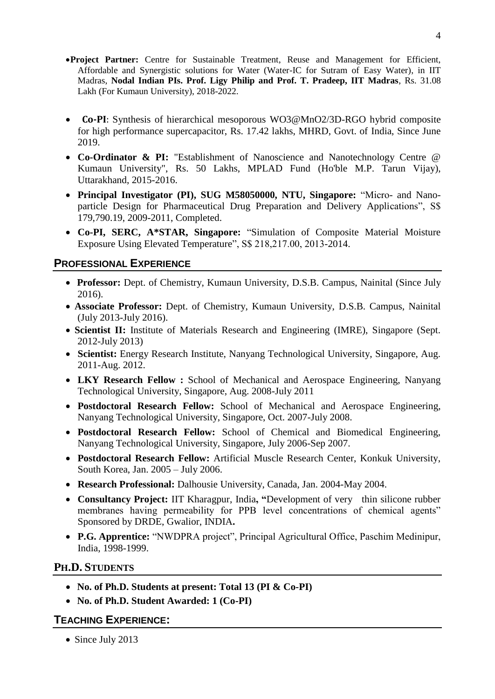- **Project Partner:** Centre for Sustainable Treatment, Reuse and Management for Efficient, Affordable and Synergistic solutions for Water (Water-IC for Sutram of Easy Water), in IIT Madras, **Nodal Indian PIs. Prof. Ligy Philip and Prof. T. Pradeep, IIT Madras**, Rs. 31.08 Lakh (For Kumaun University), 2018-2022.
- **Co-PI**: Synthesis of hierarchical mesoporous WO3@MnO2/3D-RGO hybrid composite for high performance supercapacitor, Rs. 17.42 lakhs, MHRD, Govt. of India, Since June 2019.
- **Co-Ordinator & PI:** "Establishment of Nanoscience and Nanotechnology Centre @ Kumaun University", Rs. 50 Lakhs, MPLAD Fund (Ho'ble M.P. Tarun Vijay), Uttarakhand, 2015-2016.
- **Principal Investigator (PI), SUG M58050000, NTU, Singapore:** "Micro- and Nanoparticle Design for Pharmaceutical Drug Preparation and Delivery Applications", S\$ 179,790.19, 2009-2011, Completed.
- **Co-PI, SERC, A\*STAR, Singapore:** "Simulation of Composite Material Moisture Exposure Using Elevated Temperature", S\$ 218,217.00, 2013-2014.

## **PROFESSIONAL EXPERIENCE**

- **Professor:** Dept. of Chemistry, Kumaun University, D.S.B. Campus, Nainital (Since July 2016).
- **Associate Professor:** Dept. of Chemistry, Kumaun University, D.S.B. Campus, Nainital (July 2013-July 2016).
- **Scientist II:** Institute of Materials Research and Engineering (IMRE), Singapore (Sept. 2012-July 2013)
- **Scientist:** Energy Research Institute, Nanyang Technological University, Singapore, Aug. 2011-Aug. 2012.
- **LKY Research Fellow :** School of Mechanical and Aerospace Engineering, Nanyang Technological University, Singapore, Aug. 2008-July 2011
- **Postdoctoral Research Fellow:** School of Mechanical and Aerospace Engineering, Nanyang Technological University, Singapore, Oct. 2007-July 2008.
- **Postdoctoral Research Fellow:** School of Chemical and Biomedical Engineering, Nanyang Technological University, Singapore, July 2006-Sep 2007.
- **Postdoctoral Research Fellow:** Artificial Muscle Research Center, Konkuk University, South Korea, Jan. 2005 – July 2006.
- **Research Professional:** Dalhousie University, Canada, Jan. 2004-May 2004.
- **Consultancy Project:** IIT Kharagpur, India**, "**Development of very thin silicone rubber membranes having permeability for PPB level concentrations of chemical agents" Sponsored by DRDE, Gwalior, INDIA**.**
- **P.G. Apprentice:** "NWDPRA project", Principal Agricultural Office, Paschim Medinipur, India, 1998-1999.

## **PH.D. STUDENTS**

- **No. of Ph.D. Students at present: Total 13 (PI & Co-PI)**
- **No. of Ph.D. Student Awarded: 1 (Co-PI)**

## **TEACHING EXPERIENCE:**

• Since July 2013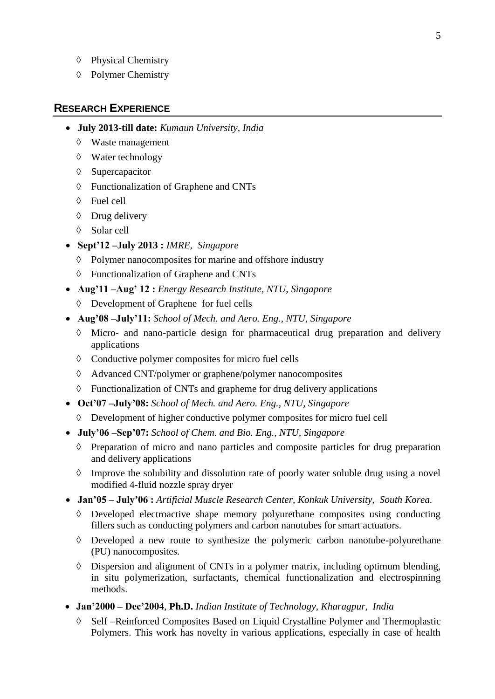- $\Diamond$  Physical Chemistry
- $\Diamond$  Polymer Chemistry

## **RESEARCH EXPERIENCE**

- **July 2013-till date:** *Kumaun University, India*
	- Waste management
	- Water technology
	- $\Diamond$  Supercapacitor
	- Functionalization of Graphene and CNTs
	- Fuel cell
	- $\Diamond$  Drug delivery
	- Solar cell
- **Sept'12 –July 2013 :** *IMRE, Singapore*
	- $\Diamond$  Polymer nanocomposites for marine and offshore industry
	- Functionalization of Graphene and CNTs
- **Aug'11 –Aug' 12 :** *Energy Research Institute, NTU, Singapore*
	- Development of Graphene for fuel cells
- **Aug'08 –July'11:** *School of Mech. and Aero. Eng., NTU, Singapore*
	- $\Diamond$  Micro- and nano-particle design for pharmaceutical drug preparation and delivery applications
	- $\Diamond$  Conductive polymer composites for micro fuel cells
	- Advanced CNT/polymer or graphene/polymer nanocomposites
	- $\Diamond$  Functionalization of CNTs and grapheme for drug delivery applications
- **Oct'07 –July'08:** *School of Mech. and Aero. Eng., NTU, Singapore*
	- Development of higher conductive polymer composites for micro fuel cell
- **July'06 –Sep'07:** *School of Chem. and Bio. Eng., NTU, Singapore*
	- $\Diamond$  Preparation of micro and nano particles and composite particles for drug preparation and delivery applications
	- $\Diamond$  Improve the solubility and dissolution rate of poorly water soluble drug using a novel modified 4-fluid nozzle spray dryer
- **Jan'05 – July'06 :** *Artificial Muscle Research Center, Konkuk University, South Korea.*
	- $\Diamond$  Developed electroactive shape memory polyurethane composites using conducting fillers such as conducting polymers and carbon nanotubes for smart actuators.
	- $\Diamond$  Developed a new route to synthesize the polymeric carbon nanotube-polyurethane (PU) nanocomposites.
	- Dispersion and alignment of CNTs in a polymer matrix, including optimum blending, in situ polymerization, surfactants, chemical functionalization and electrospinning methods.
- **Jan'2000 – Dec'2004**, **Ph.D.** *Indian Institute of Technology, Kharagpur, India*
	- Self –Reinforced Composites Based on Liquid Crystalline Polymer and Thermoplastic Polymers. This work has novelty in various applications, especially in case of health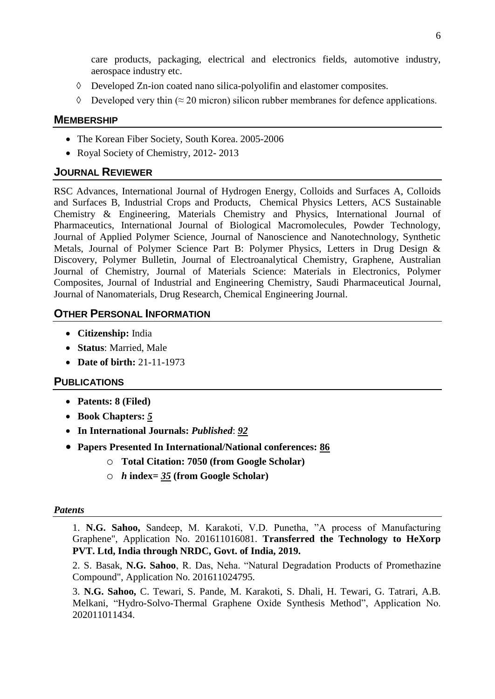care products, packaging, electrical and electronics fields, automotive industry, aerospace industry etc.

- Developed Zn-ion coated nano silica-polyolifin and elastomer composites.
- $\Diamond$  Developed very thin ( $\approx$  20 micron) silicon rubber membranes for defence applications.

#### **MEMBERSHIP**

- The Korean Fiber Society, South Korea. 2005-2006
- Royal Society of Chemistry, 2012-2013

## **JOURNAL REVIEWER**

RSC Advances, International Journal of Hydrogen Energy, Colloids and Surfaces A, Colloids and Surfaces B, Industrial Crops and Products, Chemical Physics Letters, ACS Sustainable Chemistry & Engineering, Materials Chemistry and Physics, International Journal of Pharmaceutics, International Journal of Biological Macromolecules, Powder Technology, Journal of Applied Polymer Science, Journal of Nanoscience and Nanotechnology, Synthetic Metals, Journal of Polymer Science Part B: Polymer Physics, Letters in Drug Design & Discovery, Polymer Bulletin, Journal of Electroanalytical Chemistry, Graphene, Australian Journal of Chemistry, Journal of Materials Science: Materials in Electronics, Polymer Composites, Journal of Industrial and Engineering Chemistry, Saudi Pharmaceutical Journal, Journal of Nanomaterials, Drug Research, Chemical Engineering Journal.

## **OTHER PERSONAL INFORMATION**

- **Citizenship:** India
- **Status**: Married, Male
- **Date of birth:** 21-11-1973

#### **PUBLICATIONS**

- **Patents: 8 (Filed)**
- **Book Chapters:** *5*
- **In International Journals:** *Published*: *92*
- **Papers Presented In International/National conferences: 86**
	- o **Total Citation: 7050 (from Google Scholar)**
	- o *h* **index=** *35* **(from Google Scholar)**

#### *Patents*

1. **N.G. Sahoo,** Sandeep, M. Karakoti, V.D. Punetha, "A process of Manufacturing Graphene", Application No. 201611016081. **Transferred the Technology to HeXorp PVT. Ltd, India through NRDC, Govt. of India, 2019.**

2. S. Basak, **N.G. Sahoo**, R. Das, Neha. "Natural Degradation Products of Promethazine Compound", Application No. 201611024795.

3. **N.G. Sahoo,** C. Tewari, S. Pande, M. Karakoti, S. Dhali, H. Tewari, G. Tatrari, A.B. Melkani, "Hydro-Solvo-Thermal Graphene Oxide Synthesis Method", Application No. 202011011434.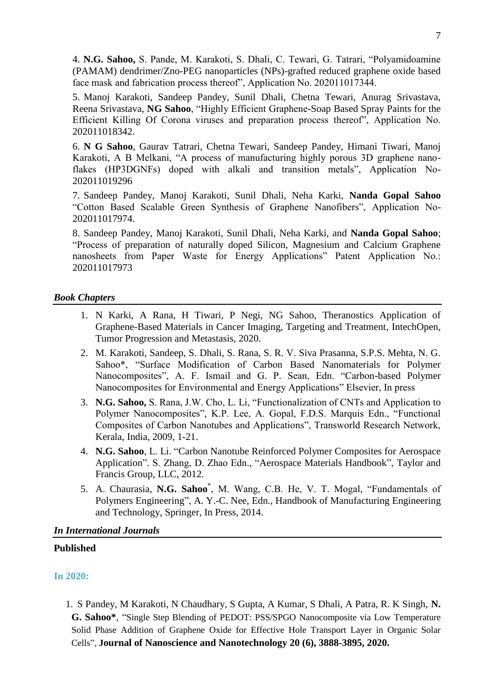4. **N.G. Sahoo,** S. Pande, M. Karakoti, S. Dhali, C. Tewari, G. Tatrari, "Polyamidoamine (PAMAM) dendrimer/Zno-PEG nanoparticles (NPs)-grafted reduced graphene oxide based face mask and fabrication process thereof", Application No. 202011017344.

5. Manoj Karakoti, Sandeep Pandey, Sunil Dhali, Chetna Tewari, Anurag Srivastava, Reena Srivastava, **NG Sahoo**, "Highly Efficient Graphene-Soap Based Spray Paints for the Efficient Killing Of Corona viruses and preparation process thereof", Application No. 202011018342.

6. **N G Sahoo**, Gaurav Tatrari, Chetna Tewari, Sandeep Pandey, Himani Tiwari, Manoj Karakoti, A B Melkani, "A process of manufacturing highly porous 3D graphene nanoflakes (HP3DGNFs) doped with alkali and transition metals", Application No-202011019296

7. Sandeep Pandey, Manoj Karakoti, Sunil Dhali, Neha Karki, **Nanda Gopal Sahoo** "Cotton Based Scalable Green Synthesis of Graphene Nanofibers", Application No-202011017974.

8. Sandeep Pandey, Manoj Karakoti, Sunil Dhali, Neha Karki, and **Nanda Gopal Sahoo**; "Process of preparation of naturally doped Silicon, Magnesium and Calcium Graphene nanosheets from Paper Waste for Energy Applications" Patent Application No.: 202011017973

#### *Book Chapters*

- 1. N Karki, A Rana, H Tiwari, P Negi, NG Sahoo, Theranostics Application of Graphene-Based Materials in Cancer Imaging, Targeting and Treatment, IntechOpen, Tumor Progression and Metastasis, 2020.
- 2. M. Karakoti, Sandeep, S. Dhali, S. Rana, S. R. V. Siva Prasanna, S.P.S. Mehta, N. G. Sahoo\*, "Surface Modification of Carbon Based Nanomaterials for Polymer Nanocomposites", A. F. Ismail and G. P. Sean, Edn. "Carbon-based Polymer Nanocomposites for Environmental and Energy Applications" Elsevier, In press
- 3. **N.G. Sahoo,** S. Rana, J.W. Cho, L. Li, "Functionalization of CNTs and Application to Polymer Nanocomposites", K.P. Lee, A. Gopal, F.D.S. Marquis Edn., "Functional Composites of Carbon Nanotubes and Applications", Transworld Research Network, Kerala, India, 2009, 1-21.
- 4. **N.G. Sahoo**, L. Li. "Carbon Nanotube Reinforced Polymer Composites for Aerospace Application". S. Zhang, D. Zhao Edn., "Aerospace Materials Handbook", Taylor and Francis Group, LLC, 2012.
- 5. A. Chaurasia, **N.G. Sahoo**\* , M. Wang, C.B. He, V. T. Mogal, "Fundamentals of Polymers Engineering", A. Y.-C. Nee, Edn., Handbook of Manufacturing Engineering and Technology, Springer, In Press, 2014.

#### *In International Journals*

#### **Published**

#### **In 2020:**

1. S Pandey, M Karakoti, N Chaudhary, S Gupta, A Kumar, S Dhali, A Patra, R. K Singh, **N. G. Sahoo\***, "Single Step Blending of PEDOT: PSS/SPGO Nanocomposite via Low Temperature Solid Phase Addition of Graphene Oxide for Effective Hole Transport Layer in Organic Solar Cells", **Journal of Nanoscience and Nanotechnology 20 (6), 3888-3895, 2020.**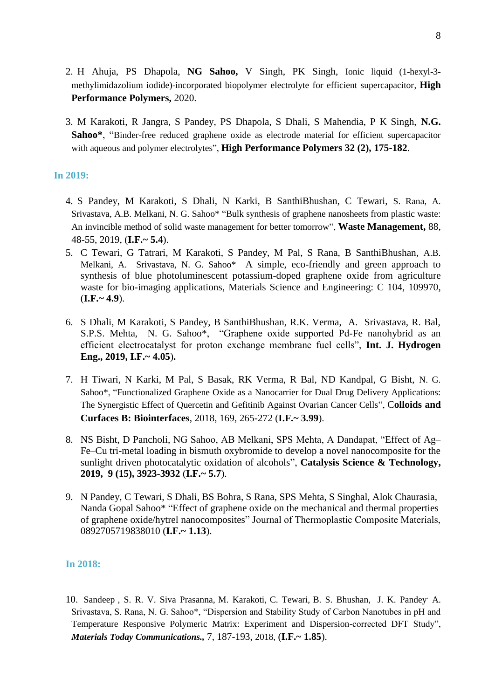- 2. H Ahuja, PS Dhapola, **NG Sahoo,** V Singh, PK Singh, Ionic liquid (1-hexyl-3 methylimidazolium iodide)-incorporated biopolymer electrolyte for efficient supercapacitor, **High Performance Polymers,** 2020.
- 3. M Karakoti, R Jangra, S Pandey, PS Dhapola, S Dhali, S Mahendia, P K Singh, **N.G. Sahoo\***, "Binder-free reduced graphene oxide as electrode material for efficient supercapacitor with aqueous and polymer electrolytes", **High Performance Polymers 32 (2), 175-182**.

#### **In 2019:**

- 4. S Pandey, M Karakoti, S Dhali, N Karki, B SanthiBhushan, C Tewari, S. Rana, A. Srivastava, A.B. Melkani, N. G. Sahoo\* "Bulk synthesis of graphene nanosheets from plastic waste: An invincible method of solid waste management for better tomorrow", **Waste Management,** 88, 48-55, 2019, (**I.F.~ 5.4**).
- 5. C Tewari, G Tatrari, M Karakoti, S Pandey, M Pal, S Rana, B SanthiBhushan, A.B. Melkani, A. Srivastava, N. G. Sahoo\* [A simple, eco-friendly and green approach to](javascript:void(0))  [synthesis of blue photoluminescent potassium-doped graphene oxide from agriculture](javascript:void(0))  [waste for bio-imaging applications,](javascript:void(0)) Materials Science and Engineering: C 104, 109970, (**I.F.~ 4.9**).
- 6. S Dhali, M Karakoti, S Pandey, B SanthiBhushan, R.K. Verma, A. Srivastava, R. Bal, S.P.S. Mehta, N. G. Sahoo\*, "Graphene oxide supported Pd-Fe nanohybrid as an efficient electrocatalyst for proton exchange membrane fuel cells", **Int. J. Hydrogen Eng., 2019, I.F.~ 4.05**)**.**
- 7. H Tiwari, N Karki, M Pal, S Basak, RK Verma, R Bal, ND Kandpal, G Bisht, N. G. Sahoo\*, "Functionalized Graphene Oxide as a Nanocarrier for Dual Drug Delivery Applications: The Synergistic Effect of Quercetin and Gefitinib Against Ovarian Cancer Cells", C**olloids and Curfaces B: Biointerfaces**, 2018, 169, 265-272 (**I.F.~ 3.99**).
- 8. NS Bisht, D Pancholi, NG Sahoo, AB Melkani, SPS Mehta, A Dandapat, ["Effect of Ag–](javascript:void(0)) [Fe–Cu tri-metal loading in bismuth oxybromide to develop a novel nanocomposite for the](javascript:void(0))  [sunlight driven photocatalytic oxidation of alcohols"](javascript:void(0)), **Catalysis Science & Technology, 2019, 9 (15), 3923-3932** (**I.F.~ 5.7**).
- 9. N Pandey, C Tewari, S Dhali, BS Bohra, S Rana, SPS Mehta, S Singhal, Alok Chaurasia, Nanda Gopal Sahoo\* ["Effect of graphene oxide on the mechanical and thermal properties](javascript:void(0)) [of graphene oxide/hytrel nanocomposites"](javascript:void(0)) Journal of Thermoplastic Composite Materials, 0892705719838010 (**I.F.~ 1.13**).

#### **In 2018:**

10. Sandeep , S. R. V. Siva Prasanna, M. Karakoti, C. Tewari, B. S. Bhushan, J. K. Pandey, A. Srivastava, S. Rana, N. G. Sahoo\*, "Dispersion and Stability Study of Carbon Nanotubes in pH and Temperature Responsive Polymeric Matrix: Experiment and Dispersion-corrected DFT Study", *Materials Today Communications.,* 7, 187-193, 2018, (**I.F.~ 1.85**).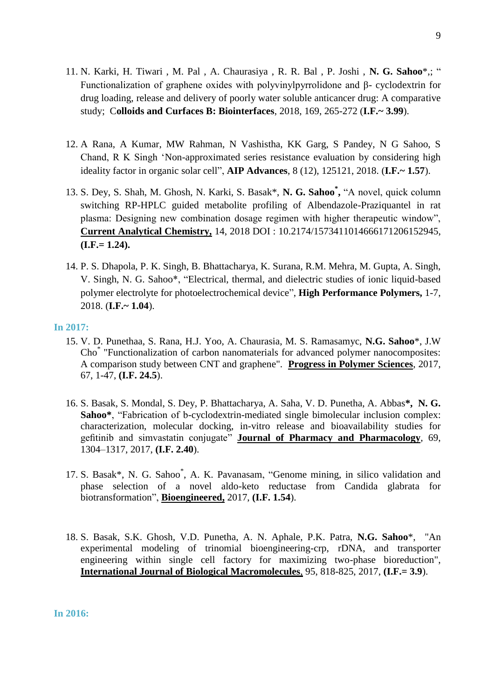- 11. N. Karki, H. Tiwari , M. Pal , A. Chaurasiya , R. R. Bal , P. Joshi , **N. G. Sahoo**\*,; " Functionalization of graphene oxides with polyvinylpyrrolidone and β- cyclodextrin for drug loading, release and delivery of poorly water soluble anticancer drug: A comparative study; C**olloids and Curfaces B: Biointerfaces**, 2018, 169, 265-272 (**I.F.~ 3.99**).
- 12. A Rana, A Kumar, MW Rahman, N Vashistha, KK Garg, S Pandey, N G Sahoo, S Chand, R K Singh "Non-approximated series resistance evaluation by considering high ideality factor in organic solar cell", **AIP Advances**, 8 (12), 125121, 2018. (**I.F.~ 1.57**).
- 13. S. Dey, S. Shah, M. Ghosh, N. Karki, S. Basak\*, **N. G. Sahoo\* ,** "A novel, quick column switching RP-HPLC guided metabolite profiling of Albendazole-Praziquantel in rat plasma: Designing new combination dosage regimen with higher therapeutic window", **Current Analytical Chemistry,** 14, 2018 DOI : 10.2174/1573411014666171206152945, **(I.F.= 1.24).**
- 14. P. S. Dhapola, P. K. Singh, B. Bhattacharya, K. Surana, R.M. Mehra, M. Gupta, A. Singh, V. Singh, N. G. Sahoo\*, "Electrical, thermal, and dielectric studies of ionic liquid-based polymer electrolyte for photoelectrochemical device", **High Performance Polymers,** 1-7, 2018. (**I.F.~ 1.04**).

#### **In 2017:**

- 15. V. D. Punethaa, S. Rana, H.J. Yoo, A. Chaurasia, M. S. Ramasamyc, **N.G. Sahoo**\*, J.W Cho\* "Functionalization of carbon nanomaterials for advanced polymer nanocomposites: A comparison study between CNT and graphene". **Progress in Polymer Sciences**, 2017, 67, 1-47, **(I.F. 24.5**).
- 16. S. Basak, S. Mondal, S. Dey, P. Bhattacharya, A. Saha, V. D. Punetha, A. Abbas**\*, N. G. Sahoo\***, "Fabrication of b-cyclodextrin-mediated single bimolecular inclusion complex: characterization, molecular docking, in-vitro release and bioavailability studies for gefitinib and simvastatin conjugate" **Journal of Pharmacy and Pharmacology**, 69, 1304–1317, 2017, **(I.F. 2.40**).
- 17. S. Basak\*, N. G. Sahoo\* , A. K. Pavanasam, "Genome mining, in silico validation and phase selection of a novel aldo-keto reductase from Candida glabrata for biotransformation", **Bioengineered,** 2017, **(I.F. 1.54**).
- 18. S. Basak, S.K. Ghosh, V.D. Punetha, A. N. Aphale, P.K. Patra, **N.G. Sahoo**\*, "An experimental modeling of trinomial bioengineering-crp, rDNA, and transporter engineering within single cell factory for maximizing two-phase bioreduction", **International Journal of Biological Macromolecules**, 95, 818-825, 2017, **(I.F.= 3.9**).

**In 2016:**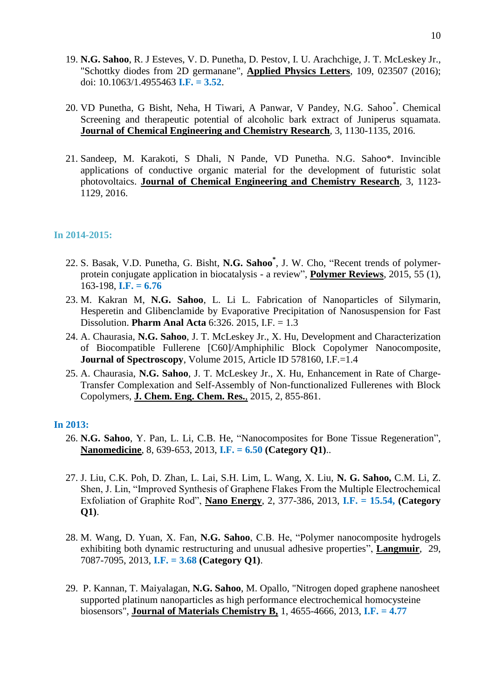- 19. **N.G. Sahoo**, R. J Esteves, V. D. Punetha, D. Pestov, I. U. Arachchige, J. T. McLeskey Jr., "Schottky diodes from 2D germanane", **Applied Physics Letters**, 109, 023507 (2016); doi: 10.1063/1.4955463 **I.F. = 3.52**.
- 20. VD Punetha, G Bisht, Neha, H Tiwari, A Panwar, V Pandey, N.G. Sahoo\* . Chemical Screening and therapeutic potential of alcoholic bark extract of Juniperus squamata. **Journal of Chemical Engineering and Chemistry Research**, 3, 1130-1135, 2016.
- 21. Sandeep, M. Karakoti, S Dhali, N Pande, VD Punetha. N.G. Sahoo\*. Invincible applications of conductive organic material for the development of futuristic solat photovoltaics. **Journal of Chemical Engineering and Chemistry Research**, 3, 1123- 1129, 2016.

#### **In 2014-2015:**

- 22. S. Basak, V.D. Punetha, G. Bisht, **N.G. Sahoo\*** , J. W. Cho, "Recent trends of polymerprotein conjugate application in biocatalysis - a review", **Polymer Reviews**, 2015, 55 (1), 163-198, **I.F. = 6.76**
- 23. M. Kakran M, **N.G. Sahoo**, L. Li L. Fabrication of Nanoparticles of Silymarin, Hesperetin and Glibenclamide by Evaporative Precipitation of Nanosuspension for Fast Dissolution. **Pharm Anal Acta** 6:326. 2015, I.F. = 1.3
- 24. A. Chaurasia, **N.G. Sahoo**, J. T. McLeskey Jr., X. Hu, Development and Characterization of Biocompatible Fullerene [C60]/Amphiphilic Block Copolymer Nanocomposite, **Journal of Spectroscopy**, Volume 2015, Article ID 578160, I.F.=1.4
- 25. A. Chaurasia, **N.G. Sahoo**, J. T. McLeskey Jr., X. Hu, Enhancement in Rate of Charge-Transfer Complexation and Self-Assembly of Non-functionalized Fullerenes with Block Copolymers, **J. Chem. Eng. Chem. Res.**, 2015, 2, 855-861.

#### **In 2013:**

- 26. **N.G. Sahoo**, Y. Pan, L. Li, C.B. He, "Nanocomposites for Bone Tissue Regeneration", **Nanomedicine**, 8, 639-653, 2013, **I.F. = 6.50 (Category Q1)**..
- 27. J. Liu, C.K. Poh, D. Zhan, L. Lai, S.H. Lim, L. Wang, X. Liu, **N. G. Sahoo,** C.M. Li, Z. Shen, J. Lin, "Improved Synthesis of Graphene Flakes From the Multiple Electrochemical Exfoliation of Graphite Rod", **Nano Energy**, 2, 377-386, 2013, **I.F. = 15.54, (Category Q1)**.
- 28. M. Wang, D. Yuan, X. Fan, **N.G. Sahoo**, C.B. He, "Polymer nanocomposite hydrogels exhibiting both dynamic restructuring and unusual adhesive properties", **Langmuir**, 29, 7087-7095, 2013, **I.F. = 3.68 (Category Q1)**.
- 29. P. Kannan, T. Maiyalagan, **N.G. Sahoo**, M. Opallo, "Nitrogen doped graphene nanosheet supported platinum nanoparticles as high performance electrochemical homocysteine biosensors", **Journal of Materials Chemistry B,** 1, 4655-4666, 2013, **I.F. = 4.77**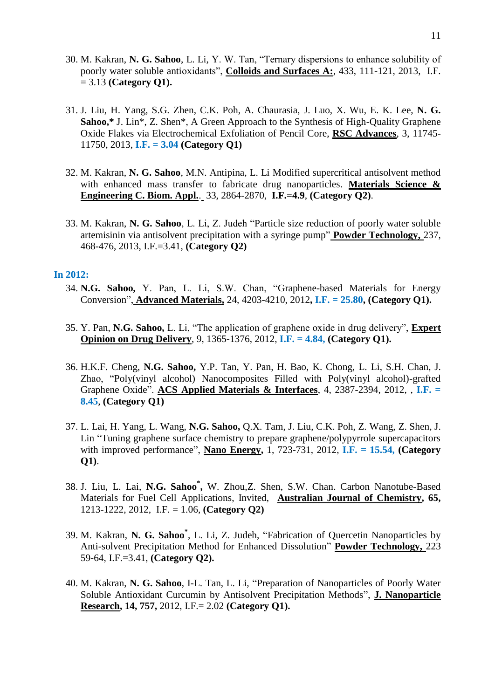- 30. M. Kakran, **N. G. Sahoo**, L. Li, Y. W. Tan, "Ternary dispersions to enhance solubility of poorly water soluble antioxidants", **Colloids and Surfaces A:**, 433, 111-121, 2013, I.F. = 3.13 **(Category Q1).**
- 31. J. Liu, H. Yang, S.G. Zhen, C.K. Poh, A. Chaurasia, J. Luo, X. Wu, E. K. Lee, **N. G. Sahoo,\*** J. Lin\*, Z. Shen\*, A Green Approach to the Synthesis of High-Quality Graphene Oxide Flakes via Electrochemical Exfoliation of Pencil Core, **RSC Advances**, 3, 11745- 11750, 2013, **I.F. = 3.04 (Category Q1)**
- 32. M. Kakran, **N. G. Sahoo**, M.N. Antipina, L. Li Modified supercritical antisolvent method with enhanced mass transfer to fabricate drug nanoparticles. **Materials Science & Engineering C. Biom. Appl.**. 33, 2864-2870, **I.F.=4.9**, **(Category Q2)**.
- 33. M. Kakran, **N. G. Sahoo**, L. Li, Z. Judeh "Particle size reduction of poorly water soluble artemisinin via antisolvent precipitation with a syringe pump" **Powder Technology,** 237, 468-476, 2013, I.F.=3.41, **(Category Q2)**

#### **In 2012:**

- 34. **N.G. Sahoo,** Y. Pan, L. Li, S.W. Chan, "Graphene-based Materials for Energy Conversion", **Advanced Materials,** 24, 4203-4210, 2012**, I.F. = 25.80, (Category Q1).**
- 35. Y. Pan, **N.G. Sahoo,** L. Li, "The application of graphene oxide in drug delivery", **Expert Opinion on Drug Delivery**, 9, 1365-1376, 2012, **I.F. = 4.84, (Category Q1).**
- 36. H.K.F. Cheng, **N.G. Sahoo,** Y.P. Tan, Y. Pan, H. Bao, K. Chong, L. Li, S.H. Chan, J. Zhao, "Poly(vinyl alcohol) Nanocomposites Filled with Poly(vinyl alcohol)-grafted Graphene Oxide". **ACS Applied Materials & Interfaces**, 4, 2387-2394, 2012, , **I.F. = 8.45**, **(Category Q1)**
- 37. L. Lai, H. Yang, L. Wang, **N.G. Sahoo,** Q.X. Tam, J. Liu, C.K. Poh, Z. Wang, Z. Shen, J. Lin "Tuning graphene surface chemistry to prepare graphene/polypyrrole supercapacitors with improved performance", **Nano Energy,** 1, 723-731, 2012, **I.F. = 15.54, (Category Q1)**.
- 38. J. Liu, L. Lai, **N.G. Sahoo\* ,** W. Zhou,Z. Shen, S.W. Chan. Carbon Nanotube-Based Materials for Fuel Cell Applications, Invited, **Australian Journal of Chemistry, 65,**  1213-1222, 2012, I.F. = 1.06, **(Category Q2)**
- 39. M. Kakran, **N. G. Sahoo\*** , L. Li, Z. Judeh, "Fabrication of Quercetin Nanoparticles by Anti-solvent Precipitation Method for Enhanced Dissolution" **Powder Technology,** 223 59-64, I.F.=3.41, **(Category Q2).**
- 40. M. Kakran, **N. G. Sahoo**, I-L. Tan, L. Li, "Preparation of Nanoparticles of Poorly Water Soluble Antioxidant Curcumin by Antisolvent Precipitation Methods", **J. Nanoparticle Research, 14, 757,** 2012, I.F.= 2.02 **(Category Q1).**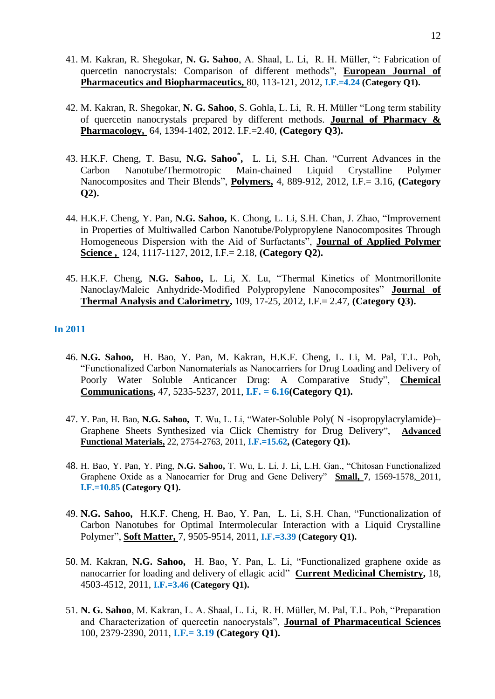- 41. M. Kakran, R. Shegokar, **N. G. Sahoo**, A. Shaal, L. Li, R. H. Müller, ": Fabrication of quercetin nanocrystals: Comparison of different methods", **European Journal of Pharmaceutics and Biopharmaceutics,** 80, 113-121, 2012, **I.F.=4.24 (Category Q1).**
- 42. M. Kakran, R. Shegokar, **N. G. Sahoo**, S. Gohla, L. Li, R. H. Müller "Long term stability of quercetin nanocrystals prepared by different methods. **Journal of Pharmacy & Pharmacology,** 64, 1394-1402, 2012. I.F.=2.40, **(Category Q3).**
- 43. H.K.F. Cheng, T. Basu, **N.G. Sahoo\* ,** L. Li, S.H. Chan. "Current Advances in the Carbon Nanotube/Thermotropic Main-chained Liquid Crystalline Polymer Nanocomposites and Their Blends", **Polymers,** 4, 889-912, 2012, I.F.= 3.16, **(Category Q2).**
- 44. H.K.F. Cheng, Y. Pan, **N.G. Sahoo,** K. Chong, L. Li, S.H. Chan, J. Zhao, "Improvement in Properties of Multiwalled Carbon Nanotube/Polypropylene Nanocomposites Through Homogeneous Dispersion with the Aid of Surfactants", **Journal of Applied Polymer Science ,** 124, 1117-1127, 2012, I.F.= 2.18, **(Category Q2).**
- 45. H.K.F. Cheng, **N.G. Sahoo,** L. Li, X. Lu, "Thermal Kinetics of Montmorillonite Nanoclay/Maleic Anhydride-Modified Polypropylene Nanocomposites" **Journal of Thermal Analysis and Calorimetry,** 109, 17-25, 2012, I.F.= 2.47, **(Category Q3).**

#### **In 2011**

- 46. **N.G. Sahoo,** H. Bao, Y. Pan, M. Kakran, H.K.F. Cheng, L. Li, M. Pal, T.L. Poh, "Functionalized Carbon Nanomaterials as Nanocarriers for Drug Loading and Delivery of Poorly Water Soluble Anticancer Drug: A Comparative Study", **Chemical Communications,** 47, 5235-5237, 2011, **I.F. = 6.16(Category Q1).**
- 47. Y. Pan, H. Bao, **N.G. Sahoo,** T. Wu, L. Li, "Water-Soluble Poly( N -isopropylacrylamide)– Graphene Sheets Synthesized via Click Chemistry for Drug Delivery", **Advanced Functional Materials,** 22, 2754-2763, 2011, **I.F.=15.62, (Category Q1).**
- 48. H. Bao, Y. Pan, Y. Ping, **N.G. Sahoo,** T. Wu, L. Li, J. Li, L.H. Gan., "Chitosan Functionalized Graphene Oxide as a Nanocarrier for Drug and Gene Delivery" **Small, 7**, 1569-1578, 2011, **I.F.=10.85 (Category Q1).**
- 49. **N.G. Sahoo,** H.K.F. Cheng, H. Bao, Y. Pan, L. Li, S.H. Chan, "Functionalization of Carbon Nanotubes for Optimal Intermolecular Interaction with a Liquid Crystalline Polymer", **Soft Matter,** 7, 9505-9514, 2011, **I.F.=3.39 (Category Q1).**
- 50. M. Kakran, **N.G. Sahoo,** H. Bao, Y. Pan, L. Li, "Functionalized graphene oxide as nanocarrier for loading and delivery of ellagic acid" **Current Medicinal Chemistry,** 18, 4503-4512, 2011, **I.F.=3.46 (Category Q1).**
- 51. **N. G. Sahoo**, M. Kakran, L. A. Shaal, L. Li, R. H. Müller, M. Pal, T.L. Poh, "Preparation and Characterization of quercetin nanocrystals", **Journal of Pharmaceutical Sciences**  100, 2379-2390, 2011, **I.F.= 3.19 (Category Q1).**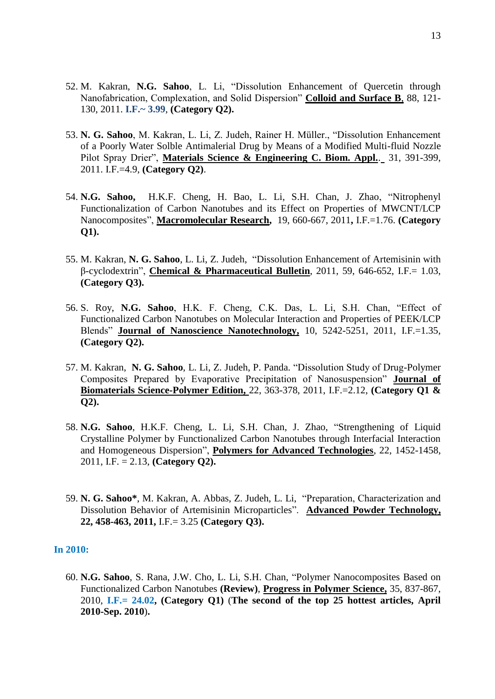- 52. M. Kakran, **N.G. Sahoo**, L. Li, "Dissolution Enhancement of Quercetin through Nanofabrication, Complexation, and Solid Dispersion" **Colloid and Surface B**, 88, 121- 130, 2011. **I.F.~ 3.99**, **(Category Q2).**
- 53. **N. G. Sahoo**, M. Kakran, L. Li, Z. Judeh, Rainer H. Müller., "Dissolution Enhancement of a Poorly Water Solble Antimalerial Drug by Means of a Modified Multi-fluid Nozzle Pilot Spray Drier", **Materials Science & Engineering C. Biom. Appl.**. 31, 391-399, 2011. I.F.=4.9, **(Category Q2)**.
- 54. **N.G. Sahoo,** H.K.F. Cheng, H. Bao, L. Li, S.H. Chan, J. Zhao, "Nitrophenyl Functionalization of Carbon Nanotubes and its Effect on Properties of MWCNT/LCP Nanocomposites", **Macromolecular Research,** 19, 660-667, 2011**,** I.F.=1.76. **(Category Q1).**
- 55. M. Kakran, **N. G. Sahoo**, L. Li, Z. Judeh, "Dissolution Enhancement of Artemisinin with β-cyclodextrin", **Chemical & Pharmaceutical Bulletin**, 2011, 59, 646-652, I.F.= 1.03, **(Category Q3).**
- 56. S. Roy, **N.G. Sahoo**, H.K. F. Cheng, C.K. Das, L. Li, S.H. Chan, "Effect of Functionalized Carbon Nanotubes on Molecular Interaction and Properties of PEEK/LCP Blends" **Journal of Nanoscience Nanotechnology,** 10, 5242-5251, 2011, I.F.=1.35, **(Category Q2).**
- 57. M. Kakran, **N. G. Sahoo**, L. Li, Z. Judeh, P. Panda. "Dissolution Study of Drug-Polymer Composites Prepared by Evaporative Precipitation of Nanosuspension" **Journal of Biomaterials Science-Polymer Edition,** 22, 363-378, 2011, I.F.=2.12, **(Category Q1 & Q2).**
- 58. **N.G. Sahoo**, H.K.F. Cheng, L. Li, S.H. Chan, J. Zhao, "Strengthening of Liquid Crystalline Polymer by Functionalized Carbon Nanotubes through Interfacial Interaction and Homogeneous Dispersion", **Polymers for Advanced Technologies**, 22, 1452-1458, 2011, I.F. = 2.13, **(Category Q2).**
- 59. **N. G. Sahoo\***, M. Kakran, A. Abbas, Z. Judeh, L. Li, "Preparation, Characterization and Dissolution Behavior of Artemisinin Microparticles". **Advanced Powder Technology, 22, 458-463, 2011,** I.F.= 3.25 **(Category Q3).**

#### **In 2010:**

60. **N.G. Sahoo**, S. Rana, J.W. Cho, L. Li, S.H. Chan, "Polymer Nanocomposites Based on Functionalized Carbon Nanotubes **(Review)**, **Progress in Polymer Science,** 35, 837-867, 2010, **I.F.= 24.02, (Category Q1)** (**The second of the top 25 hottest articles, April 2010-Sep. 2010**)**.**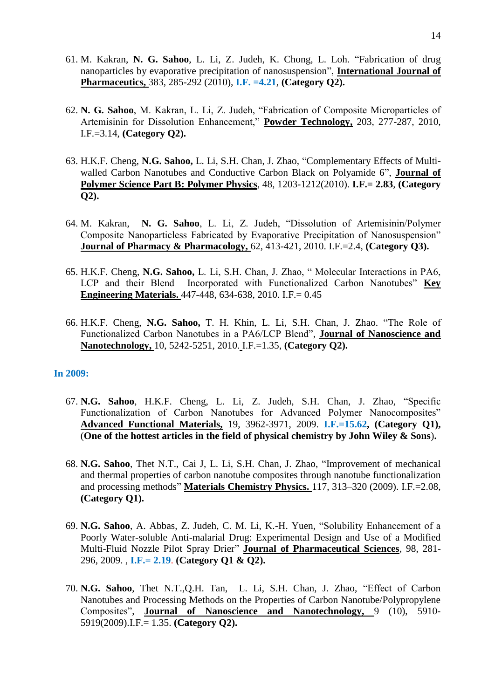- 61. M. Kakran, **N. G. Sahoo**, L. Li, Z. Judeh, K. Chong, L. Loh. "Fabrication of drug nanoparticles by evaporative precipitation of nanosuspension", **International Journal of Pharmaceutics,** 383, 285-292 (2010), **I.F. =4.21**, **(Category Q2).**
- 62. **N. G. Sahoo**, M. Kakran, L. Li, Z. Judeh, "Fabrication of Composite Microparticles of Artemisinin for Dissolution Enhancement," **Powder Technology,** 203, 277-287, 2010, I.F.=3.14, **(Category Q2).**
- 63. H.K.F. Cheng, **N.G. Sahoo,** L. Li, S.H. Chan, J. Zhao, "Complementary Effects of Multiwalled Carbon Nanotubes and Conductive Carbon Black on Polyamide 6", **Journal of Polymer Science Part B: Polymer Physics**, 48, 1203-1212(2010). **I.F.= 2.83**, **(Category Q2).**
- 64. M. Kakran, **N. G. Sahoo**, L. Li, Z. Judeh, "Dissolution of Artemisinin/Polymer Composite Nanoparticless Fabricated by Evaporative Precipitation of Nanosuspension" **Journal of Pharmacy & Pharmacology,** 62, 413-421, 2010. I.F.=2.4, **(Category Q3).**
- 65. H.K.F. Cheng, **N.G. Sahoo,** L. Li, S.H. Chan, J. Zhao, " Molecular Interactions in PA6, LCP and their Blend Incorporated with Functionalized Carbon Nanotubes" **Key Engineering Materials.** 447-448, 634-638, 2010. I.F.= 0.45
- 66. H.K.F. Cheng, **N.G. Sahoo,** T. H. Khin, L. Li, S.H. Chan, J. Zhao. "The Role of Functionalized Carbon Nanotubes in a PA6/LCP Blend", **Journal of Nanoscience and Nanotechnology,** 10, 5242-5251, 2010. I.F.=1.35, **(Category Q2).**

#### **In 2009:**

- 67. **N.G. Sahoo**, H.K.F. Cheng, L. Li, Z. Judeh, S.H. Chan, J. Zhao, "Specific Functionalization of Carbon Nanotubes for Advanced Polymer Nanocomposites" **Advanced Functional Materials,** 19, 3962-3971, 2009. **I.F.=15.62, (Category Q1),**  (**One of the hottest articles in the field of physical chemistry by John Wiley & Sons**)**.**
- 68. **N.G. Sahoo**, Thet N.T., Cai J, L. Li, S.H. Chan, J. Zhao, "Improvement of mechanical and thermal properties of carbon nanotube composites through nanotube functionalization and processing methods" **Materials Chemistry Physics.** 117, 313–320 (2009). I.F.=2.08, **(Category Q1).**
- 69. **N.G. Sahoo**, A. Abbas, Z. Judeh, C. M. Li, K.-H. Yuen, "Solubility Enhancement of a Poorly Water-soluble Anti-malarial Drug: Experimental Design and Use of a Modified Multi-Fluid Nozzle Pilot Spray Drier" **Journal of Pharmaceutical Sciences**, 98, 281- 296, 2009. , **I.F.= 2.19**. **(Category Q1 & Q2).**
- 70. **N.G. Sahoo**, Thet N.T.,Q.H. Tan, L. Li, S.H. Chan, J. Zhao, "Effect of Carbon Nanotubes and Processing Methods on the Properties of Carbon Nanotube/Polypropylene Composites", **Journal of Nanoscience and Nanotechnology,** 9 (10), 5910- 5919(2009).I.F.= 1.35. **(Category Q2).**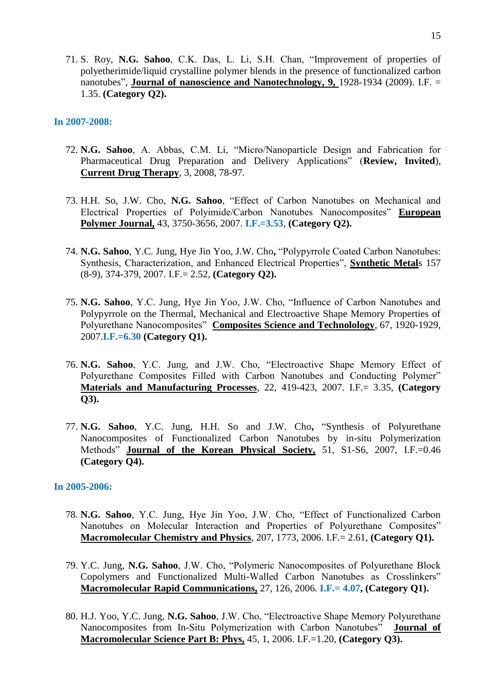71. S. Roy, **N.G. Sahoo**, C.K. Das, L. Li, S.H. Chan, "Improvement of properties of polyetherimide/liquid crystalline polymer blends in the presence of functionalized carbon nanotubes", **Journal of nanoscience and Nanotechnology, 9,** 1928-1934 (2009). I.F. = 1.35. **(Category Q2).**

#### **In 2007-2008:**

- 72. **N.G. Sahoo**, A. Abbas, C.M. Li, "Micro/Nanoparticle Design and Fabrication for Pharmaceutical Drug Preparation and Delivery Applications" (**Review, Invited**), **Current Drug Therapy**, 3, 2008, 78-97.
- 73. H.H. So, J.W. Cho, **N.G. Sahoo**, "Effect of Carbon Nanotubes on Mechanical and Electrical Properties of Polyimide/Carbon Nanotubes Nanocomposites" **European Polymer Journal,** 43, 3750-3656, 2007. **I.F.=3.53**, **(Category Q2).**
- 74. **N.G. Sahoo**, Y.C. Jung, Hye Jin Yoo, J.W. Cho**,** "Polypyrrole Coated Carbon Nanotubes: Synthesis, Characterization, and Enhanced Electrical Properties", **Synthetic Metal**s 157 (8-9), 374-379, 2007. I.F.= 2.52, **(Category Q2).**
- 75. **N.G. Sahoo**, Y.C. Jung, Hye Jin Yoo, J.W. Cho, "Influence of Carbon Nanotubes and Polypyrrole on the Thermal, Mechanical and Electroactive Shape Memory Properties of Polyurethane Nanocomposites" **Composites Science and Technolology**, 67, 1920-1929, 2007.**I.F.=6.30 (Category Q1).**
- 76. **N.G. Sahoo**, Y.C. Jung, and J.W. Cho, "Electroactive Shape Memory Effect of Polyurethane Composites Filled with Carbon Nanotubes and Conducting Polymer" **Materials and Manufacturing Processes**, 22, 419-423, 2007. I.F.= 3.35, **(Category Q3).**
- 77. **N.G. Sahoo**, Y.C. Jung, H.H. So and J.W. Cho**,** "Synthesis of Polyurethane Nanocomposites of Functionalized Carbon Nanotubes by in-situ Polymerization Methods" **Journal of the Korean Physical Society,** 51, S1-S6, 2007, I.F.=0.46 **(Category Q4).**

#### **In 2005-2006:**

- 78. **N.G. Sahoo**, Y.C. Jung, Hye Jin Yoo, J.W. Cho, "Effect of Functionalized Carbon Nanotubes on Molecular Interaction and Properties of Polyurethane Composites" **Macromolecular Chemistry and Physics**, 207, 1773, 2006. I.F.= 2.61, **(Category Q1).**
- 79. Y.C. Jung, **N.G. Sahoo**, J.W. Cho, "Polymeric Nanocomposites of Polyurethane Block Copolymers and Functionalized Multi-Walled Carbon Nanotubes as Crosslinkers" **Macromolecular Rapid Communications,** 27, 126, 2006. **I.F.= 4.07, (Category Q1).**
- 80. H.J. Yoo, Y.C. Jung, **N.G. Sahoo**, J.W. Cho, "Electroactive Shape Memory Polyurethane Nanocomposites from In-Situ Polymerization with Carbon Nanotubes" **Journal of Macromolecular Science Part B: Phys,** 45, 1, 2006. I.F.=1.20, **(Category Q3).**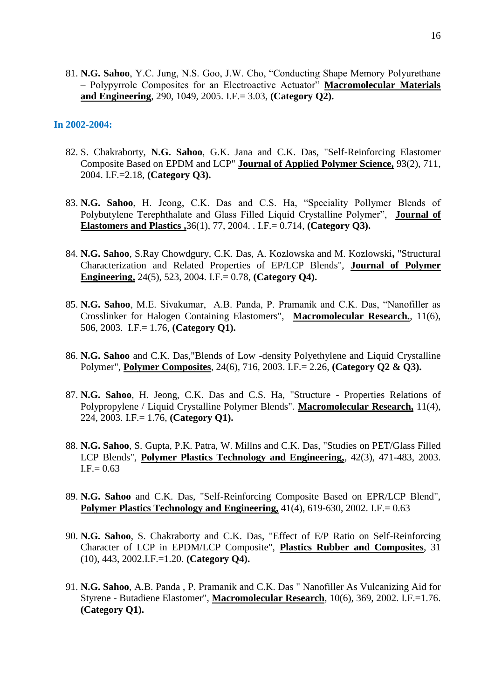81. **N.G. Sahoo**, Y.C. Jung, N.S. Goo, J.W. Cho, "Conducting Shape Memory Polyurethane – Polypyrrole Composites for an Electroactive Actuator" **Macromolecular Materials and Engineering**, 290, 1049, 2005. I.F.= 3.03, **(Category Q2).**

#### **In 2002-2004:**

- 82. S. Chakraborty, **N.G. Sahoo**, G.K. Jana and C.K. Das, "Self-Reinforcing Elastomer Composite Based on EPDM and LCP" **Journal of Applied Polymer Science,** 93(2), 711, 2004. I.F.=2.18, **(Category Q3).**
- 83. **N.G. Sahoo**, H. Jeong, C.K. Das and C.S. Ha, "Speciality Pollymer Blends of Polybutylene Terephthalate and Glass Filled Liquid Crystalline Polymer", **Journal of Elastomers and Plastics ,**36(1), 77, 2004. . I.F.= 0.714, **(Category Q3).**
- 84. **N.G. Sahoo**, S.Ray Chowdgury, C.K. Das, A. Kozlowska and M. Kozlowski**,** "Structural Characterization and Related Properties of EP/LCP Blends", **Journal of Polymer Engineering,** 24(5), 523, 2004. I.F.= 0.78, **(Category Q4).**
- 85. **N.G. Sahoo**, M.E. Sivakumar, A.B. Panda, P. Pramanik and C.K. Das, "Nanofiller as Crosslinker for Halogen Containing Elastomers", **Macromolecular Research.**, 11(6), 506, 2003. I.F.= 1.76, **(Category Q1).**
- 86. **N.G. Sahoo** and C.K. Das,"Blends of Low -density Polyethylene and Liquid Crystalline Polymer", **Polymer Composites**, 24(6), 716, 2003. I.F.= 2.26, **(Category Q2 & Q3).**
- 87. **N.G. Sahoo**, H. Jeong, C.K. Das and C.S. Ha, "Structure Properties Relations of Polypropylene / Liquid Crystalline Polymer Blends". **Macromolecular Research,** 11(4), 224, 2003. I.F.= 1.76, **(Category Q1).**
- 88. **N.G. Sahoo**, S. Gupta, P.K. Patra, W. Millns and C.K. Das, "Studies on PET/Glass Filled LCP Blends", **Polymer Plastics Technology and Engineering,**, 42(3), 471-483, 2003.  $I.F = 0.63$
- 89. **N.G. Sahoo** and C.K. Das, "Self-Reinforcing Composite Based on EPR/LCP Blend", **Polymer Plastics Technology and Engineering,** 41(4), 619-630, 2002. I.F.= 0.63
- 90. **N.G. Sahoo**, S. Chakraborty and C.K. Das, "Effect of E/P Ratio on Self-Reinforcing Character of LCP in EPDM/LCP Composite", **Plastics Rubber and Composites**, 31 (10), 443, 2002.I.F.=1.20. **(Category Q4).**
- 91. **N.G. Sahoo**, A.B. Panda , P. Pramanik and C.K. Das " Nanofiller As Vulcanizing Aid for Styrene - Butadiene Elastomer", **Macromolecular Research**, 10(6), 369, 2002. I.F.=1.76. **(Category Q1).**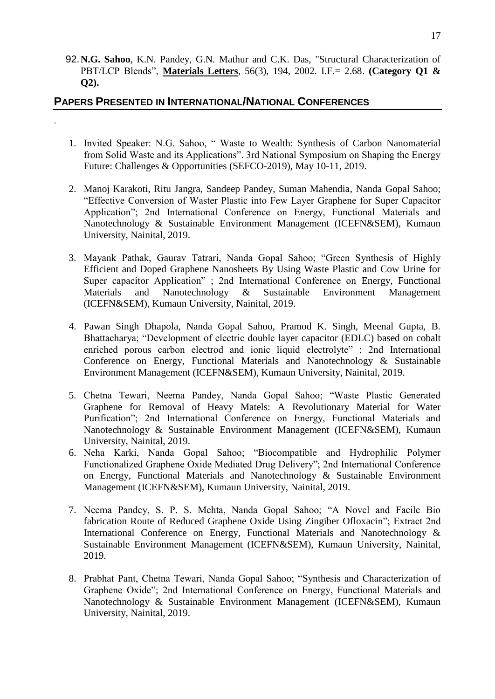92.**N.G. Sahoo**, K.N. Pandey, G.N. Mathur and C.K. Das, "Structural Characterization of PBT/LCP Blends", **Materials Letters**, 56(3), 194, 2002. I.F.= 2.68. **(Category Q1 & Q2).**

## **PAPERS PRESENTED IN INTERNATIONAL/NATIONAL CONFERENCES**

.

- 1. Invited Speaker: N.G. Sahoo, " Waste to Wealth: Synthesis of Carbon Nanomaterial from Solid Waste and its Applications". 3rd National Symposium on Shaping the Energy Future: Challenges & Opportunities (SEFCO-2019), May 10-11, 2019.
- 2. Manoj Karakoti, Ritu Jangra, Sandeep Pandey, Suman Mahendia, Nanda Gopal Sahoo; "Effective Conversion of Waster Plastic into Few Layer Graphene for Super Capacitor Application"; 2nd International Conference on Energy, Functional Materials and Nanotechnology & Sustainable Environment Management (ICEFN&SEM), Kumaun University, Nainital, 2019.
- 3. Mayank Pathak, Gaurav Tatrari, Nanda Gopal Sahoo; "Green Synthesis of Highly Efficient and Doped Graphene Nanosheets By Using Waste Plastic and Cow Urine for Super capacitor Application" ; 2nd International Conference on Energy, Functional Materials and Nanotechnology & Sustainable Environment Management (ICEFN&SEM), Kumaun University, Nainital, 2019.
- 4. Pawan Singh Dhapola, Nanda Gopal Sahoo, Pramod K. Singh, Meenal Gupta, B. Bhattacharya; "Development of electric double layer capacitor (EDLC) based on cobalt enriched porous carbon electrod and ionic liquid electrolyte" ; 2nd International Conference on Energy, Functional Materials and Nanotechnology & Sustainable Environment Management (ICEFN&SEM), Kumaun University, Nainital, 2019.
- 5. Chetna Tewari, Neema Pandey, Nanda Gopal Sahoo; "Waste Plastic Generated Graphene for Removal of Heavy Matels: A Revolutionary Material for Water Purification"; 2nd International Conference on Energy, Functional Materials and Nanotechnology & Sustainable Environment Management (ICEFN&SEM), Kumaun University, Nainital, 2019.
- 6. Neha Karki, Nanda Gopal Sahoo; "Biocompatible and Hydrophilic Polymer Functionalized Graphene Oxide Mediated Drug Delivery"; 2nd International Conference on Energy, Functional Materials and Nanotechnology & Sustainable Environment Management (ICEFN&SEM), Kumaun University, Nainital, 2019.
- 7. Neema Pandey, S. P. S. Mehta, Nanda Gopal Sahoo; "A Novel and Facile Bio fabrication Route of Reduced Graphene Oxide Using Zingiber Ofloxacin"; Extract 2nd International Conference on Energy, Functional Materials and Nanotechnology & Sustainable Environment Management (ICEFN&SEM), Kumaun University, Nainital, 2019.
- 8. Prabhat Pant, Chetna Tewari, Nanda Gopal Sahoo; "Synthesis and Characterization of Graphene Oxide"; 2nd International Conference on Energy, Functional Materials and Nanotechnology & Sustainable Environment Management (ICEFN&SEM), Kumaun University, Nainital, 2019.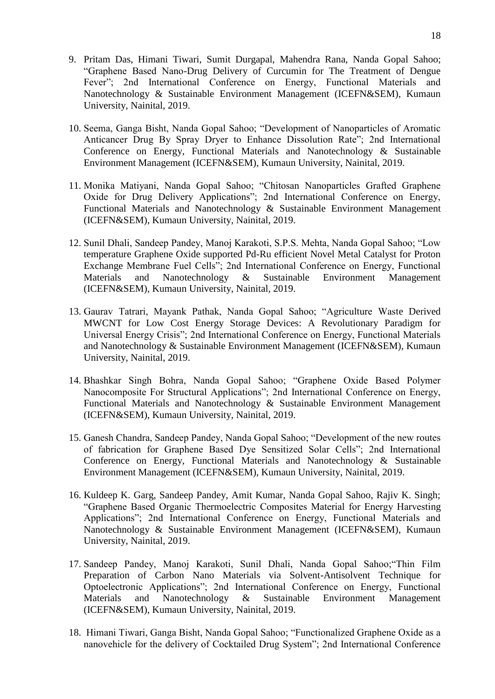- 9. Pritam Das, Himani Tiwari, Sumit Durgapal, Mahendra Rana, Nanda Gopal Sahoo; "Graphene Based Nano-Drug Delivery of Curcumin for The Treatment of Dengue Fever"; 2nd International Conference on Energy, Functional Materials and Nanotechnology & Sustainable Environment Management (ICEFN&SEM), Kumaun University, Nainital, 2019.
- 10. Seema, Ganga Bisht, Nanda Gopal Sahoo; "Development of Nanoparticles of Aromatic Anticancer Drug By Spray Dryer to Enhance Dissolution Rate"; 2nd International Conference on Energy, Functional Materials and Nanotechnology & Sustainable Environment Management (ICEFN&SEM), Kumaun University, Nainital, 2019.
- 11. Monika Matiyani, Nanda Gopal Sahoo; "Chitosan Nanoparticles Grafted Graphene Oxide for Drug Delivery Applications"; 2nd International Conference on Energy, Functional Materials and Nanotechnology & Sustainable Environment Management (ICEFN&SEM), Kumaun University, Nainital, 2019.
- 12. Sunil Dhali, Sandeep Pandey, Manoj Karakoti, S.P.S. Mehta, Nanda Gopal Sahoo; "Low temperature Graphene Oxide supported Pd-Ru efficient Novel Metal Catalyst for Proton Exchange Membrane Fuel Cells"; 2nd International Conference on Energy, Functional Materials and Nanotechnology & Sustainable Environment Management (ICEFN&SEM), Kumaun University, Nainital, 2019.
- 13. Gaurav Tatrari, Mayank Pathak, Nanda Gopal Sahoo; "Agriculture Waste Derived MWCNT for Low Cost Energy Storage Devices: A Revolutionary Paradigm for Universal Energy Crisis"; 2nd International Conference on Energy, Functional Materials and Nanotechnology & Sustainable Environment Management (ICEFN&SEM), Kumaun University, Nainital, 2019.
- 14. Bhashkar Singh Bohra, Nanda Gopal Sahoo; "Graphene Oxide Based Polymer Nanocomposite For Structural Applications"; 2nd International Conference on Energy, Functional Materials and Nanotechnology & Sustainable Environment Management (ICEFN&SEM), Kumaun University, Nainital, 2019.
- 15. Ganesh Chandra, Sandeep Pandey, Nanda Gopal Sahoo; "Development of the new routes of fabrication for Graphene Based Dye Sensitized Solar Cells"; 2nd International Conference on Energy, Functional Materials and Nanotechnology & Sustainable Environment Management (ICEFN&SEM), Kumaun University, Nainital, 2019.
- 16. Kuldeep K. Garg, Sandeep Pandey, Amit Kumar, Nanda Gopal Sahoo, Rajiv K. Singh; "Graphene Based Organic Thermoelectric Composites Material for Energy Harvesting Applications"; 2nd International Conference on Energy, Functional Materials and Nanotechnology & Sustainable Environment Management (ICEFN&SEM), Kumaun University, Nainital, 2019.
- 17. Sandeep Pandey, Manoj Karakoti, Sunil Dhali, Nanda Gopal Sahoo;"Thin Film Preparation of Carbon Nano Materials via Solvent-Antisolvent Technique for Optoelectronic Applications"; 2nd International Conference on Energy, Functional Materials and Nanotechnology & Sustainable Environment Management (ICEFN&SEM), Kumaun University, Nainital, 2019.
- 18. Himani Tiwari, Ganga Bisht, Nanda Gopal Sahoo; "Functionalized Graphene Oxide as a nanovehicle for the delivery of Cocktailed Drug System"; 2nd International Conference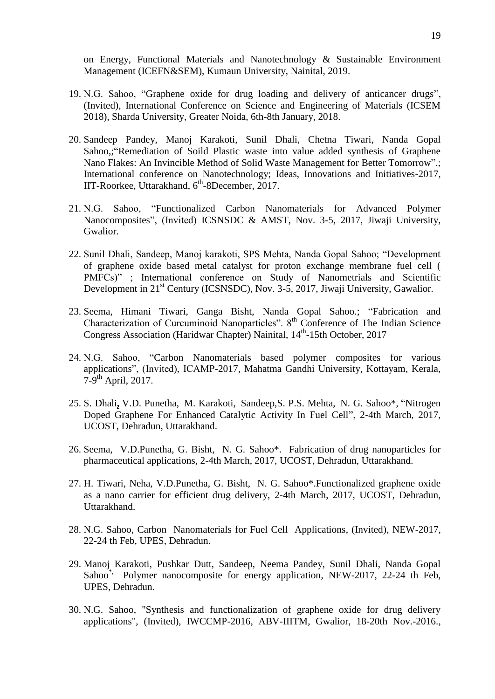on Energy, Functional Materials and Nanotechnology & Sustainable Environment Management (ICEFN&SEM), Kumaun University, Nainital, 2019.

- 19. N.G. Sahoo, "Graphene oxide for drug loading and delivery of anticancer drugs", (Invited), International Conference on Science and Engineering of Materials (ICSEM 2018), Sharda University, Greater Noida, 6th-8th January, 2018.
- 20. Sandeep Pandey, Manoj Karakoti, Sunil Dhali, Chetna Tiwari, Nanda Gopal Sahoo,;"Remediation of Soild Plastic waste into value added synthesis of Graphene Nano Flakes: An Invincible Method of Solid Waste Management for Better Tomorrow".; International conference on Nanotechnology; Ideas, Innovations and Initiatives-2017, IIT-Roorkee, Uttarakhand, 6<sup>th</sup>-8December, 2017.
- 21. N.G. Sahoo, "Functionalized Carbon Nanomaterials for Advanced Polymer Nanocomposites", (Invited) ICSNSDC & AMST, Nov. 3-5, 2017, Jiwaji University, Gwalior.
- 22. Sunil Dhali, Sandeep, Manoj karakoti, SPS Mehta, Nanda Gopal Sahoo; "Development of graphene oxide based metal catalyst for proton exchange membrane fuel cell ( PMFCs)" ; International conference on Study of Nanometrials and Scientific Development in 21<sup>st</sup> Century (ICSNSDC), Nov. 3-5, 2017, Jiwaji University, Gawalior.
- 23. Seema, Himani Tiwari, Ganga Bisht, Nanda Gopal Sahoo.; "Fabrication and Characterization of Curcuminoid Nanoparticles". 8th Conference of The Indian Science Congress Association (Haridwar Chapter) Nainital, 14<sup>th</sup>-15th October, 2017
- 24. N.G. Sahoo, "Carbon Nanomaterials based polymer composites for various applications", (Invited), ICAMP-2017, Mahatma Gandhi University, Kottayam, Kerala,  $7-9$ <sup>th</sup> April, 2017.
- 25. S. Dhali**,** V.D. Punetha, M. Karakoti, Sandeep,S. P.S. Mehta, N. G. Sahoo\*, "Nitrogen Doped Graphene For Enhanced Catalytic Activity In Fuel Cell", 2-4th March, 2017, UCOST, Dehradun, Uttarakhand.
- 26. Seema, V.D.Punetha, G. Bisht, N. G. Sahoo\*. Fabrication of drug nanoparticles for pharmaceutical applications, 2-4th March, 2017, UCOST, Dehradun, Uttarakhand.
- 27. H. Tiwari, Neha, V.D.Punetha, G. Bisht, N. G. Sahoo\*.Functionalized graphene oxide as a nano carrier for efficient drug delivery, 2-4th March, 2017, UCOST, Dehradun, Uttarakhand.
- 28. N.G. Sahoo, Carbon Nanomaterials for Fuel Cell Applications, (Invited), NEW-2017, 22-24 th Feb, UPES, Dehradun.
- 29. Manoj Karakoti, Pushkar Dutt, Sandeep, Neema Pandey, Sunil Dhali, Nanda Gopal Sahoo<sup>\*</sup>, Polymer nanocomposite for energy application, NEW-2017, 22-24 th Feb, UPES, Dehradun.
- 30. N.G. Sahoo, "Synthesis and functionalization of graphene oxide for drug delivery applications", (Invited), IWCCMP-2016, ABV-IIITM, Gwalior, 18-20th Nov.-2016.,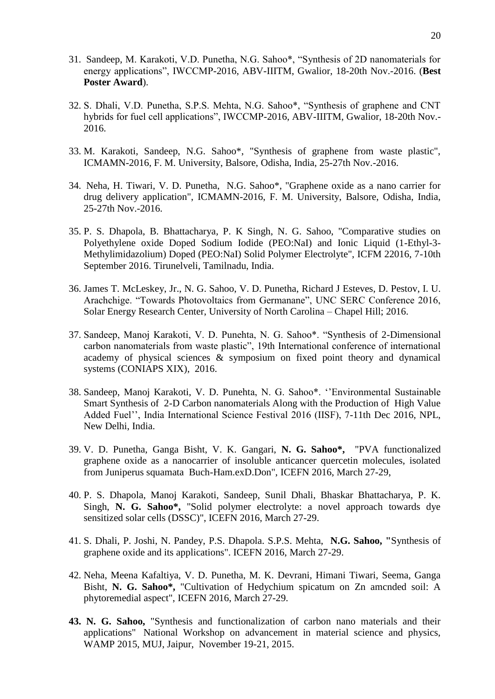- 31. Sandeep, M. Karakoti, V.D. Punetha, N.G. Sahoo\*, "Synthesis of 2D nanomaterials for energy applications", IWCCMP-2016, ABV-IIITM, Gwalior, 18-20th Nov.-2016. (**Best Poster Award**).
- 32. S. Dhali, V.D. Punetha, S.P.S. Mehta, N.G. Sahoo\*, "Synthesis of graphene and CNT hybrids for fuel cell applications", IWCCMP-2016, ABV-IIITM, Gwalior, 18-20th Nov.- 2016.
- 33. M. Karakoti, Sandeep, N.G. Sahoo\*, "Synthesis of graphene from waste plastic", ICMAMN-2016, F. M. University, Balsore, Odisha, India, 25-27th Nov.-2016.
- 34. Neha, H. Tiwari, V. D. Punetha, N.G. Sahoo\*, "Graphene oxide as a nano carrier for drug delivery application", ICMAMN-2016, F. M. University, Balsore, Odisha, India, 25-27th Nov.-2016.
- 35. P. S. Dhapola, B. Bhattacharya, P. K Singh, N. G. Sahoo, "Comparative studies on Polyethylene oxide Doped Sodium Iodide (PEO:NaI) and Ionic Liquid (1-Ethyl-3- Methylimidazolium) Doped (PEO:NaI) Solid Polymer Electrolyte", ICFM 22016, 7-10th September 2016. Tirunelveli, Tamilnadu, India.
- 36. James T. McLeskey, Jr., N. G. Sahoo, V. D. Punetha, Richard J Esteves, D. Pestov, I. U. Arachchige. "Towards Photovoltaics from Germanane", UNC SERC Conference 2016, Solar Energy Research Center, University of North Carolina – Chapel Hill; 2016.
- 37. Sandeep, Manoj Karakoti, V. D. Punehta, N. G. Sahoo\*. "Synthesis of 2-Dimensional carbon nanomaterials from waste plastic", 19th International conference of international academy of physical sciences & symposium on fixed point theory and dynamical systems (CONIAPS XIX), 2016.
- 38. Sandeep, Manoj Karakoti, V. D. Punehta, N. G. Sahoo\*. ""Environmental Sustainable Smart Synthesis of 2-D Carbon nanomaterials Along with the Production of High Value Added Fuel"", India International Science Festival 2016 (IISF), 7-11th Dec 2016, NPL, New Delhi, India.
- 39. V. D. Punetha, Ganga Bisht, V. K. Gangari, **N. G. Sahoo\*,** "PVA functionalized graphene oxide as a nanocarrier of insoluble anticancer quercetin molecules, isolated from Juniperus squamata Buch-Ham.exD.Don", ICEFN 2016, March 27-29,
- 40. P. S. Dhapola, Manoj Karakoti, Sandeep, Sunil Dhali, Bhaskar Bhattacharya, P. K. Singh, **N. G. Sahoo\*,** "Solid polymer electrolyte: a novel approach towards dye sensitized solar cells (DSSC)", ICEFN 2016, March 27-29.
- 41. S. Dhali, P. Joshi, N. Pandey, P.S. Dhapola. S.P.S. Mehta, **N.G. Sahoo, "**Synthesis of graphene oxide and its applications". ICEFN 2016, March 27-29.
- 42. Neha, Meena Kafaltiya, V. D. Punetha, M. K. Devrani, Himani Tiwari, Seema, Ganga Bisht, **N. G. Sahoo\*,** "Cultivation of Hedychium spicatum on Zn amcnded soil: A phytoremedial aspect", ICEFN 2016, March 27-29.
- **43. N. G. Sahoo,** "Synthesis and functionalization of carbon nano materials and their applications" National Workshop on advancement in material science and physics, WAMP 2015, MUJ, Jaipur, November 19-21, 2015.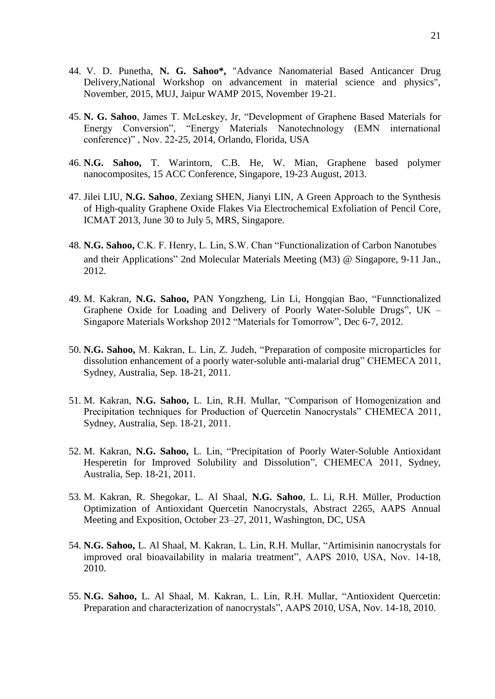- 44. V. D. Punetha, **N. G. Sahoo\*,** "Advance Nanomaterial Based Anticancer Drug Delivery,National Workshop on advancement in material science and physics", November, 2015, MUJ, Jaipur WAMP 2015, November 19-21.
- 45. **N. G. Sahoo**, James T. McLeskey, Jr, "Development of Graphene Based Materials for Energy Conversion", "Energy Materials Nanotechnology (EMN international conference)" , Nov. 22-25, 2014, Orlando, Florida, USA
- 46. **N.G. Sahoo,** T. Warintorn, C.B. He, W. Mian, Graphene based polymer nanocomposites, 15 ACC Conference, Singapore, 19-23 August, 2013.
- 47. Jilei LIU, **N.G. Sahoo**, Zexiang SHEN, Jianyi LIN, A Green Approach to the Synthesis of High-quality Graphene Oxide Flakes Via Electrochemical Exfoliation of Pencil Core, ICMAT 2013, June 30 to July 5, MRS, Singapore.
- 48. **N.G. Sahoo,** C.K. F. Henry, L. Lin, S.W. Chan "Functionalization of Carbon Nanotubes and their Applications" 2nd Molecular Materials Meeting (M3) @ Singapore, 9-11 Jan., 2012.
- 49. M. Kakran, **N.G. Sahoo,** PAN Yongzheng, Lin Li, Hongqian Bao, "Funnctionalized Graphene Oxide for Loading and Delivery of Poorly Water-Soluble Drugs", UK – Singapore Materials Workshop 2012 "Materials for Tomorrow", Dec 6-7, 2012.
- 50. **N.G. Sahoo,** M. Kakran, L. Lin, Z. Judeh, "Preparation of composite microparticles for dissolution enhancement of a poorly water-soluble anti-malarial drug" CHEMECA 2011, Sydney, Australia, Sep. 18-21, 2011.
- 51. M. Kakran, **N.G. Sahoo,** L. Lin, R.H. Mullar, "Comparison of Homogenization and Precipitation techniques for Production of Quercetin Nanocrystals" CHEMECA 2011, Sydney, Australia, Sep. 18-21, 2011.
- 52. M. Kakran, **N.G. Sahoo,** L. Lin, "Precipitation of Poorly Water-Soluble Antioxidant Hesperetin for Improved Solubility and Dissolution", CHEMECA 2011, Sydney, Australia, Sep. 18-21, 2011.
- 53. M. Kakran, R. Shegokar, L. Al Shaal, **N.G. Sahoo**, L. Li, R.H. Müller, Production Optimization of Antioxidant Quercetin Nanocrystals, Abstract 2265, AAPS Annual Meeting and Exposition, October 23–27, 2011, Washington, DC, USA
- 54. **N.G. Sahoo,** L. Al Shaal, M. Kakran, L. Lin, R.H. Mullar, "Artimisinin nanocrystals for improved oral bioavailability in malaria treatment", AAPS 2010, USA, Nov. 14-18, 2010.
- 55. **N.G. Sahoo,** L. Al Shaal, M. Kakran, L. Lin, R.H. Mullar, "Antioxident Quercetin: Preparation and characterization of nanocrystals", AAPS 2010, USA, Nov. 14-18, 2010.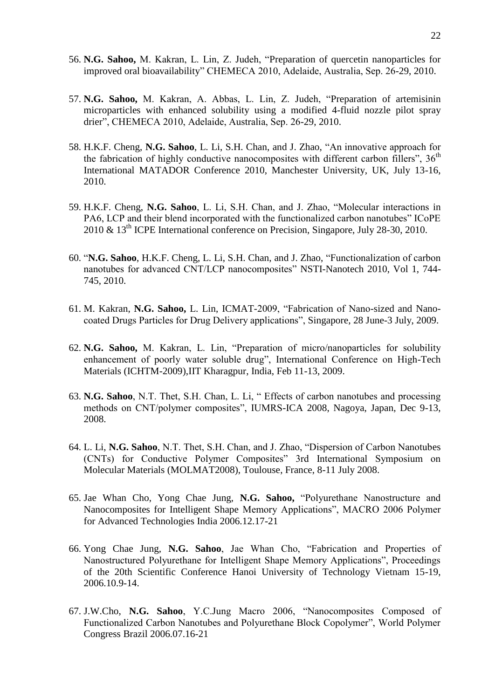- 56. **N.G. Sahoo,** M. Kakran, L. Lin, Z. Judeh, "Preparation of quercetin nanoparticles for improved oral bioavailability" CHEMECA 2010, Adelaide, Australia, Sep. 26-29, 2010.
- 57. **N.G. Sahoo,** M. Kakran, A. Abbas, L. Lin, Z. Judeh, "Preparation of artemisinin microparticles with enhanced solubility using a modified 4-fluid nozzle pilot spray drier", CHEMECA 2010, Adelaide, Australia, Sep. 26-29, 2010.
- 58. H.K.F. Cheng, **N.G. Sahoo**, L. Li, S.H. Chan, and J. Zhao, "An innovative approach for the fabrication of highly conductive nanocomposites with different carbon fillers",  $36<sup>th</sup>$ International MATADOR Conference 2010, Manchester University, UK, July 13-16, 2010.
- 59. H.K.F. Cheng, **N.G. Sahoo**, L. Li, S.H. Chan, and J. Zhao, "Molecular interactions in PA6, LCP and their blend incorporated with the functionalized carbon nanotubes" ICoPE 2010 & 13<sup>th</sup> ICPE International conference on Precision, Singapore, July 28-30, 2010.
- 60. "**N.G. Sahoo**, H.K.F. Cheng, L. Li, S.H. Chan, and J. Zhao, "Functionalization of carbon nanotubes for advanced CNT/LCP nanocomposites" NSTI-Nanotech 2010, Vol 1, 744- 745, 2010.
- 61. M. Kakran, **N.G. Sahoo,** L. Lin, ICMAT-2009, "Fabrication of Nano-sized and Nanocoated Drugs Particles for Drug Delivery applications", Singapore, 28 June-3 July, 2009.
- 62. **N.G. Sahoo,** M. Kakran, L. Lin, "Preparation of micro/nanoparticles for solubility enhancement of poorly water soluble drug", International Conference on High-Tech Materials (ICHTM-2009),IIT Kharagpur, India, Feb 11-13, 2009.
- 63. **N.G. Sahoo**, N.T. Thet, S.H. Chan, L. Li, " Effects of carbon nanotubes and processing methods on CNT/polymer composites", IUMRS-ICA 2008, Nagoya, Japan, Dec 9-13, 2008.
- 64. L. Li, **N.G. Sahoo**, N.T. Thet, S.H. Chan, and J. Zhao, "Dispersion of Carbon Nanotubes (CNTs) for Conductive Polymer Composites" 3rd International Symposium on Molecular Materials (MOLMAT2008), Toulouse, France, 8-11 July 2008.
- 65. Jae Whan Cho, Yong Chae Jung, **N.G. Sahoo,** "Polyurethane Nanostructure and Nanocomposites for Intelligent Shape Memory Applications", MACRO 2006 Polymer for Advanced Technologies India 2006.12.17-21
- 66. Yong Chae Jung, **N.G. Sahoo**, Jae Whan Cho, "Fabrication and Properties of Nanostructured Polyurethane for Intelligent Shape Memory Applications", Proceedings of the 20th Scientific Conference Hanoi University of Technology Vietnam 15-19, 2006.10.9-14.
- 67. J.W.Cho, **N.G. Sahoo**, Y.C.Jung Macro 2006, "Nanocomposites Composed of Functionalized Carbon Nanotubes and Polyurethane Block Copolymer", World Polymer Congress Brazil 2006.07.16-21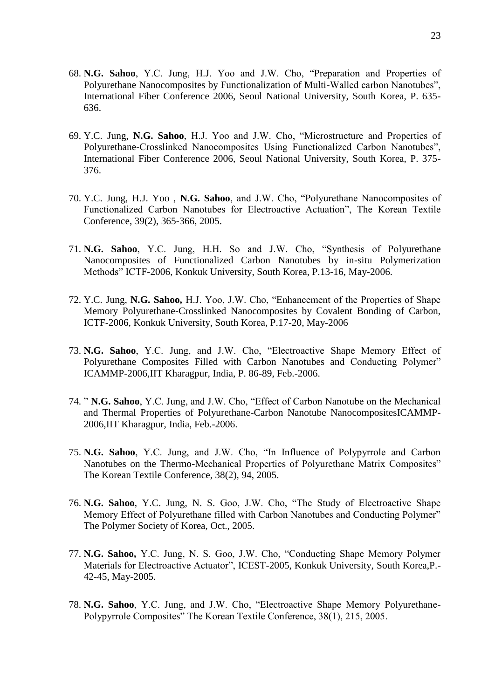- 68. **N.G. Sahoo**, Y.C. Jung, H.J. Yoo and J.W. Cho, "Preparation and Properties of Polyurethane Nanocomposites by Functionalization of Multi-Walled carbon Nanotubes", International Fiber Conference 2006, Seoul National University, South Korea, P. 635- 636.
- 69. Y.C. Jung, **N.G. Sahoo**, H.J. Yoo and J.W. Cho, "Microstructure and Properties of Polyurethane-Crosslinked Nanocomposites Using Functionalized Carbon Nanotubes", International Fiber Conference 2006, Seoul National University, South Korea, P. 375- 376.
- 70. Y.C. Jung, H.J. Yoo , **N.G. Sahoo**, and J.W. Cho, "Polyurethane Nanocomposites of Functionalized Carbon Nanotubes for Electroactive Actuation", The Korean Textile Conference, 39(2), 365-366, 2005.
- 71. **N.G. Sahoo**, Y.C. Jung, H.H. So and J.W. Cho, "Synthesis of Polyurethane Nanocomposites of Functionalized Carbon Nanotubes by in-situ Polymerization Methods" ICTF-2006, Konkuk University, South Korea, P.13-16, May-2006.
- 72. Y.C. Jung, **N.G. Sahoo,** H.J. Yoo, J.W. Cho, "Enhancement of the Properties of Shape Memory Polyurethane-Crosslinked Nanocomposites by Covalent Bonding of Carbon, ICTF-2006, Konkuk University, South Korea, P.17-20, May-2006
- 73. **N.G. Sahoo**, Y.C. Jung, and J.W. Cho, "Electroactive Shape Memory Effect of Polyurethane Composites Filled with Carbon Nanotubes and Conducting Polymer" ICAMMP-2006,IIT Kharagpur, India, P. 86-89, Feb.-2006.
- 74. " **N.G. Sahoo**, Y.C. Jung, and J.W. Cho, "Effect of Carbon Nanotube on the Mechanical and Thermal Properties of Polyurethane-Carbon Nanotube NanocompositesICAMMP-2006,IIT Kharagpur, India, Feb.-2006.
- 75. **N.G. Sahoo**, Y.C. Jung, and J.W. Cho, "In Influence of Polypyrrole and Carbon Nanotubes on the Thermo-Mechanical Properties of Polyurethane Matrix Composites" The Korean Textile Conference, 38(2), 94, 2005.
- 76. **N.G. Sahoo**, Y.C. Jung, N. S. Goo, J.W. Cho, "The Study of Electroactive Shape Memory Effect of Polyurethane filled with Carbon Nanotubes and Conducting Polymer" The Polymer Society of Korea, Oct., 2005.
- 77. **N.G. Sahoo,** Y.C. Jung, N. S. Goo, J.W. Cho, "Conducting Shape Memory Polymer Materials for Electroactive Actuator", ICEST-2005, Konkuk University, South Korea,P.- 42-45, May-2005.
- 78. **N.G. Sahoo**, Y.C. Jung, and J.W. Cho, "Electroactive Shape Memory Polyurethane-Polypyrrole Composites" The Korean Textile Conference, 38(1), 215, 2005.